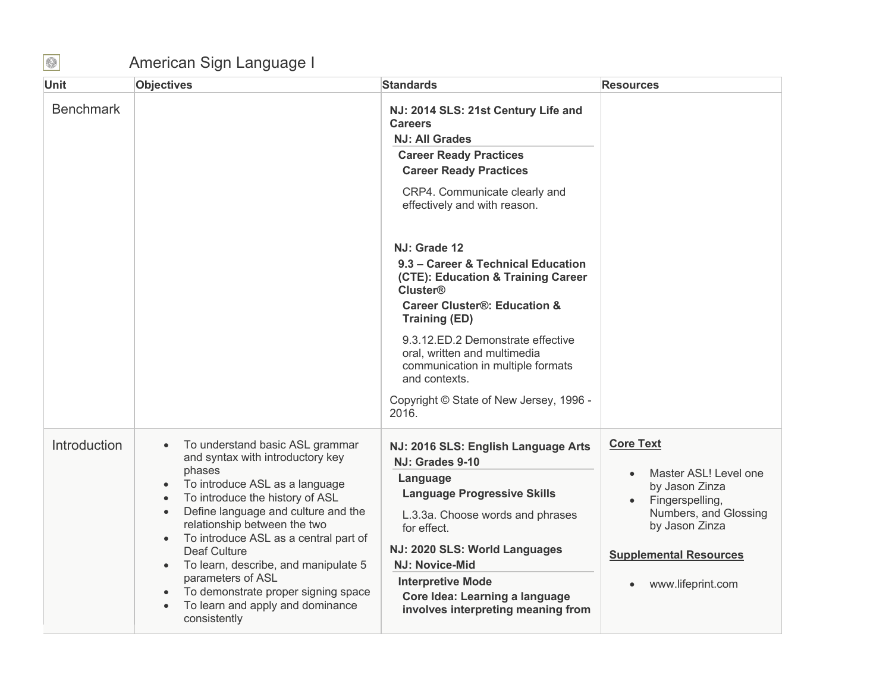## American Sign Language I

| Unit             | <b>Objectives</b>                                                                                                                                                                                                                                                                                                                                                                                                                                                                                                                            | <b>Standards</b>                                                                                                                                                                                                                                                                                                                                              | <b>Resources</b>                                                                                                                                                                                          |
|------------------|----------------------------------------------------------------------------------------------------------------------------------------------------------------------------------------------------------------------------------------------------------------------------------------------------------------------------------------------------------------------------------------------------------------------------------------------------------------------------------------------------------------------------------------------|---------------------------------------------------------------------------------------------------------------------------------------------------------------------------------------------------------------------------------------------------------------------------------------------------------------------------------------------------------------|-----------------------------------------------------------------------------------------------------------------------------------------------------------------------------------------------------------|
| <b>Benchmark</b> |                                                                                                                                                                                                                                                                                                                                                                                                                                                                                                                                              | NJ: 2014 SLS: 21st Century Life and<br><b>Careers</b><br><b>NJ: All Grades</b><br><b>Career Ready Practices</b><br><b>Career Ready Practices</b><br>CRP4. Communicate clearly and<br>effectively and with reason.                                                                                                                                             |                                                                                                                                                                                                           |
|                  |                                                                                                                                                                                                                                                                                                                                                                                                                                                                                                                                              | NJ: Grade 12<br>9.3 - Career & Technical Education<br>(CTE): Education & Training Career<br><b>Cluster®</b><br><b>Career Cluster®: Education &amp;</b><br><b>Training (ED)</b><br>9.3.12.ED.2 Demonstrate effective<br>oral, written and multimedia<br>communication in multiple formats<br>and contexts.<br>Copyright © State of New Jersey, 1996 -<br>2016. |                                                                                                                                                                                                           |
| Introduction     | To understand basic ASL grammar<br>$\bullet$<br>and syntax with introductory key<br>phases<br>To introduce ASL as a language<br>To introduce the history of ASL<br>$\bullet$<br>Define language and culture and the<br>$\bullet$<br>relationship between the two<br>To introduce ASL as a central part of<br>$\bullet$<br><b>Deaf Culture</b><br>To learn, describe, and manipulate 5<br>$\bullet$<br>parameters of ASL<br>To demonstrate proper signing space<br>$\bullet$<br>To learn and apply and dominance<br>$\bullet$<br>consistently | NJ: 2016 SLS: English Language Arts<br>NJ: Grades 9-10<br>Language<br><b>Language Progressive Skills</b><br>L.3.3a. Choose words and phrases<br>for effect.<br>NJ: 2020 SLS: World Languages<br>NJ: Novice-Mid<br><b>Interpretive Mode</b><br>Core Idea: Learning a language<br>involves interpreting meaning from                                            | <b>Core Text</b><br>Master ASL! Level one<br>$\bullet$<br>by Jason Zinza<br>Fingerspelling,<br>Numbers, and Glossing<br>by Jason Zinza<br><b>Supplemental Resources</b><br>www.lifeprint.com<br>$\bullet$ |

 $\bigcirc$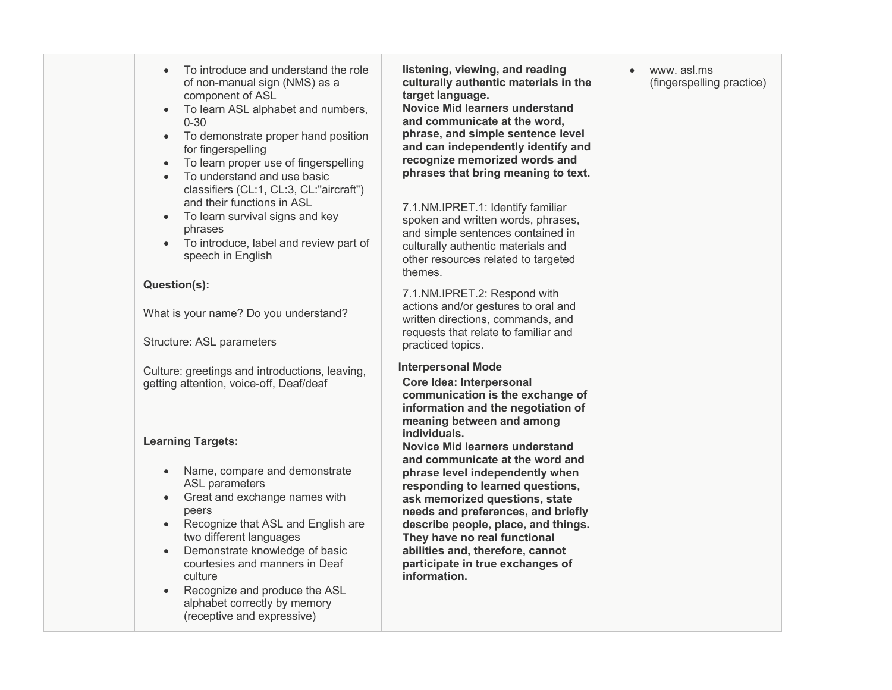- • To introduce and understand the role **listening, viewing, and reading** www. asl.ms of non-manual sign (NMS) as a component of ASL
- • To learn ASL alphabet and numbers, **Novice Mid learners understand**  0-30 **and communicate at the word,**
- To demonstrate proper hand position **phrase, and simple sentence level**
- To learn proper use of fingerspelling **recognize memorized words and**
- To understand and use basic classifiers (CL:1, CL:3, CL:"aircraft") • To understand and use basic **phrases that bring meaning to text.** and their functions in ASL
- • To learn survival signs and key phrases
- 

Structure: ASL parameters

 Culture: greetings and introductions, leaving, **Interpersonal Mode**  getting attention, voice-off, Deaf/deaf **Core Idea: Interpersonal**

# **Learning Targets: individuals.**

- 
- Great and exchange names with **•** Great and exchange names with **ask memorized questions, state**
- Recognize that ASL and English are **describe people, place, and things.**  two different languages **They have no real functional**
- Demonstrate knowledge of basic • Demonstrate knowledge of basic **abilities and, therefore, cannot** culture **information**.
- Recognize and produce the ASL alphabet correctly by memory (receptive and expressive)

**Novice Mid learners understand** phrase, and simple sentence level for fingerspelling **and can independently identify and** recognize memorized words and culturally authentic materials in the **culturally authentic materials in the** *(fingerspelling practice)* target language.

 spoken and written words, phrases, 7.1.NM.IPRET.1: Identify familiar primates and simple sentences contained in<br>To introduce, label and review part of culturally authentic materials and<br>other resources related to targeted themes.

What is your name? Do you understand? actions and/or gestures to oral and<br>written directions, commands, and **Question(s):** 7.1.NM.IPRET.2: Respond with written directions, commands, and requests that relate to familiar and practiced topics.

**Core Idea: Interpersonal meaning between and among communication is the exchange of information and the negotiation of** 

 **and communicate at the word and** • Name, compare and demonstrate **phrase level independently when Novice Mid learners understand**  and communicate at the word and phrase level independently when ASL parameters *responding to learned questions,* describe people, place, and things.  courtesies and manners in Deaf **participate in true exchanges of** peers **needs and preferences, and briefly**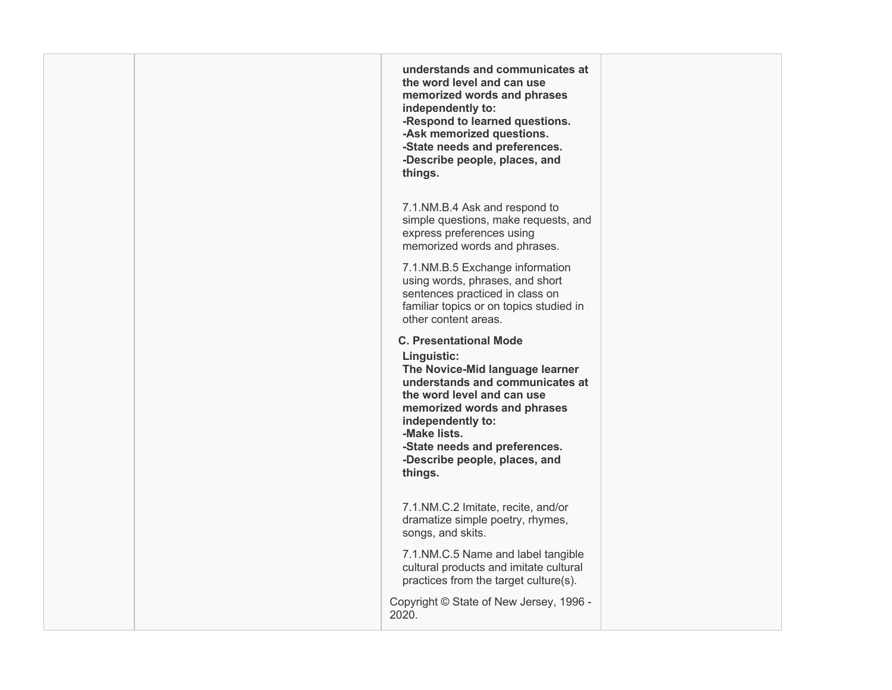**understands and communicates at memorized words and phrases -Respond to learned questions. -State needs and preferences. -Describe people, places, and the word level and can use independently to: -Ask memorized questions. things.** 

 memorized words and phrases. 7.1.NM.B.4 Ask and respond to simple questions, make requests, and express preferences using

 using words, phrases, and short other content areas. 7.1.NM.B.5 Exchange information sentences practiced in class on familiar topics or on topics studied in

## **C. Presentational Mode**

 **The Novice-Mid language learner understands and communicates at memorized words and phrases -State needs and preferences. Linguistic: the word level and can use independently to: -Make lists. -Describe people, places, and** 

**things.** 

 7.1.NM.C.2 Imitate, recite, and/or dramatize simple poetry, rhymes, songs, and skits.

 practices from the target culture(s). 7.1.NM.C.5 Name and label tangible cultural products and imitate cultural

 Copyright © State of New Jersey, 1996 - 2020.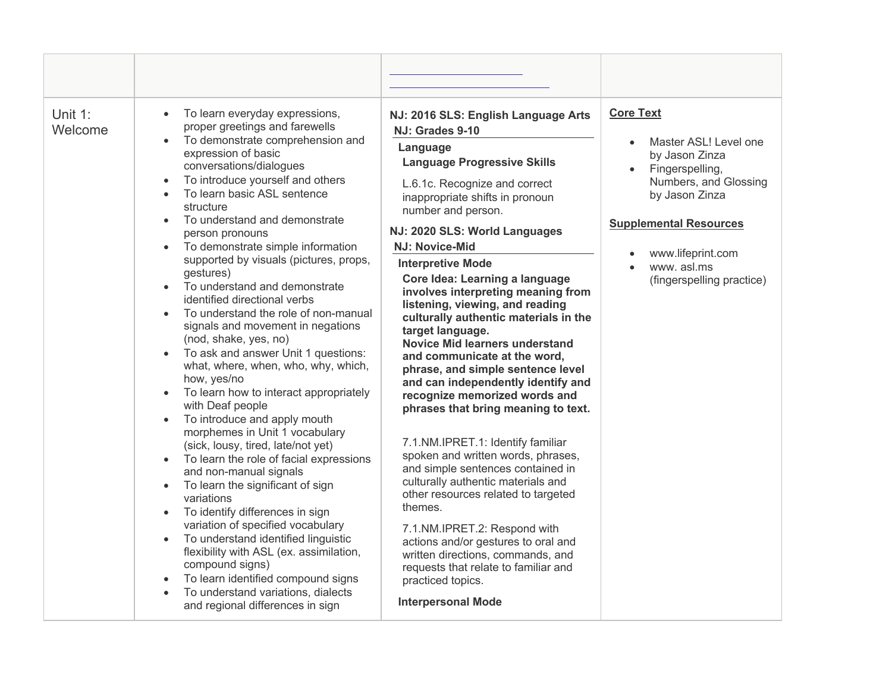| Unit 1:<br>Welcome | To learn everyday expressions,<br>$\bullet$<br>proper greetings and farewells<br>To demonstrate comprehension and<br>$\bullet$<br>expression of basic<br>conversations/dialogues<br>To introduce yourself and others<br>$\bullet$<br>To learn basic ASL sentence<br>structure<br>To understand and demonstrate<br>person pronouns<br>To demonstrate simple information<br>$\bullet$<br>supported by visuals (pictures, props,<br>gestures)<br>To understand and demonstrate<br>identified directional verbs<br>To understand the role of non-manual<br>signals and movement in negations<br>(nod, shake, yes, no)<br>To ask and answer Unit 1 questions:<br>$\bullet$<br>what, where, when, who, why, which,<br>how, yes/no<br>To learn how to interact appropriately<br>$\bullet$<br>with Deaf people<br>To introduce and apply mouth<br>morphemes in Unit 1 vocabulary<br>(sick, lousy, tired, late/not yet)<br>To learn the role of facial expressions<br>$\bullet$<br>and non-manual signals<br>To learn the significant of sign<br>variations<br>To identify differences in sign<br>$\bullet$<br>variation of specified vocabulary<br>To understand identified linguistic<br>$\bullet$<br>flexibility with ASL (ex. assimilation,<br>compound signs)<br>To learn identified compound signs<br>To understand variations, dialects<br>and regional differences in sign | NJ: 2016 SLS: English Language Arts<br>NJ: Grades 9-10<br>Language<br><b>Language Progressive Skills</b><br>L.6.1c. Recognize and correct<br>inappropriate shifts in pronoun<br>number and person.<br>NJ: 2020 SLS: World Languages<br><b>NJ: Novice-Mid</b><br><b>Interpretive Mode</b><br>Core Idea: Learning a language<br>involves interpreting meaning from<br>listening, viewing, and reading<br>culturally authentic materials in the<br>target language.<br><b>Novice Mid learners understand</b><br>and communicate at the word,<br>phrase, and simple sentence level<br>and can independently identify and<br>recognize memorized words and<br>phrases that bring meaning to text.<br>7.1.NM.IPRET.1: Identify familiar<br>spoken and written words, phrases,<br>and simple sentences contained in<br>culturally authentic materials and<br>other resources related to targeted<br>themes.<br>7.1.NM.IPRET.2: Respond with<br>actions and/or gestures to oral and<br>written directions, commands, and<br>requests that relate to familiar and<br>practiced topics.<br><b>Interpersonal Mode</b> | <b>Core Text</b><br>Master ASL! Level one<br>by Jason Zinza<br>Fingerspelling,<br>Numbers, and Glossing<br>by Jason Zinza<br><b>Supplemental Resources</b><br>www.lifeprint.com<br>www.asl.ms<br>(fingerspelling practice) |
|--------------------|---------------------------------------------------------------------------------------------------------------------------------------------------------------------------------------------------------------------------------------------------------------------------------------------------------------------------------------------------------------------------------------------------------------------------------------------------------------------------------------------------------------------------------------------------------------------------------------------------------------------------------------------------------------------------------------------------------------------------------------------------------------------------------------------------------------------------------------------------------------------------------------------------------------------------------------------------------------------------------------------------------------------------------------------------------------------------------------------------------------------------------------------------------------------------------------------------------------------------------------------------------------------------------------------------------------------------------------------------------------------------|------------------------------------------------------------------------------------------------------------------------------------------------------------------------------------------------------------------------------------------------------------------------------------------------------------------------------------------------------------------------------------------------------------------------------------------------------------------------------------------------------------------------------------------------------------------------------------------------------------------------------------------------------------------------------------------------------------------------------------------------------------------------------------------------------------------------------------------------------------------------------------------------------------------------------------------------------------------------------------------------------------------------------------------------------------------------------------------------------------|----------------------------------------------------------------------------------------------------------------------------------------------------------------------------------------------------------------------------|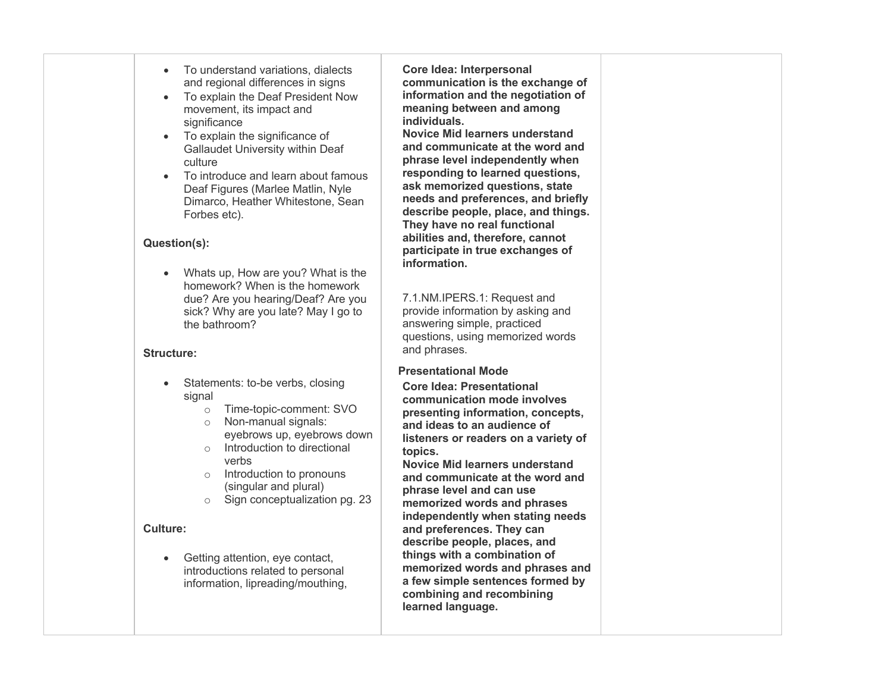- • To understand variations, dialects and regional differences in signs
- • To explain the Deaf President Now movement, its impact and significance
- • To explain the significance of Gallaudet University within Deaf culture
- • To introduce and learn about famous Deaf Figures (Marlee Matlin, Nyle Dimarco, Heather Whitestone, Sean Forbes etc).

## **Question(s):**

 • Whats up, How are you? What is the homework? When is the homework due? Are you hearing/Deaf? Are you sick? Why are you late? May I go to the bathroom?

## **Structure:**

- Statements: to-be verbs, closing signal
	- o Time-topic-comment: SVO
	- o Non-manual signals: eyebrows up, eyebrows down
	- o Introduction to directional verbs
	- o Introduction to pronouns (singular and plural)
	- o Sign conceptualization pg. 23

## **Culture:**

 • Getting attention, eye contact, introductions related to personal information, lipreading/mouthing,

 **Core Idea: Interpersonal meaning between and among communication is the exchange of information and the negotiation of individuals.** 

 **Novice Mid learners understand and communicate at the word and phrase level independently when responding to learned questions, ask memorized questions, state describe people, place, and things. They have no real functional participate in true exchanges of needs and preferences, and briefly abilities and, therefore, cannot information.** 

 7.1.NM.IPERS.1: Request and provide information by asking and answering simple, practiced questions, using memorized words and phrases.

## **Presentational Mode**

 **Core Idea: Presentational presenting information, concepts, and ideas to an audience of communication mode involves listeners or readers on a variety of topics.**

 **Novice Mid learners understand and communicate at the word and phrase level and can use memorized words and phrases and preferences. They can describe people, places, and memorized words and phrases and combining and recombining independently when stating needs things with a combination of a few simple sentences formed by learned language.**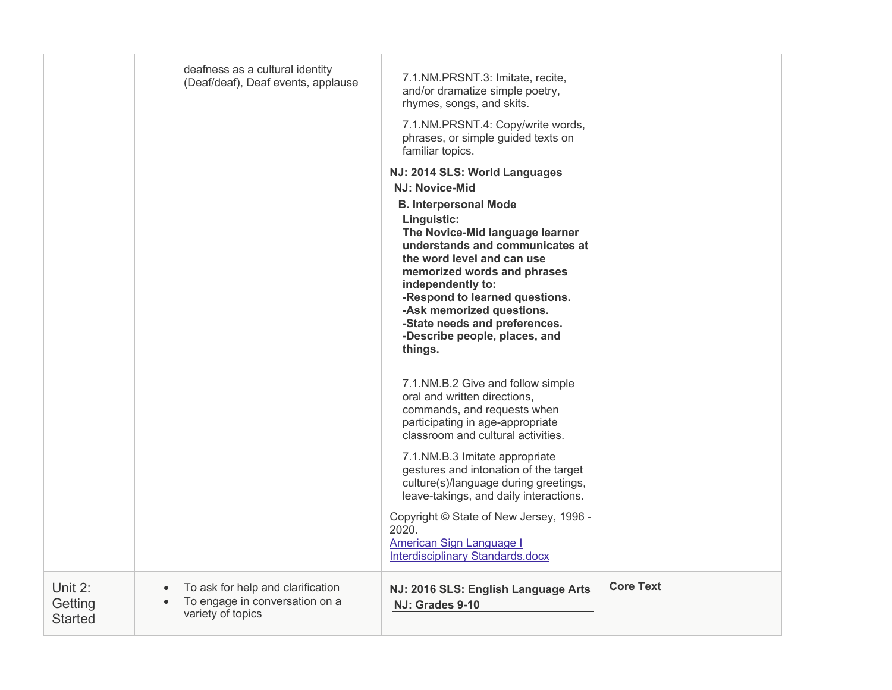|                                      | deafness as a cultural identity<br>(Deaf/deaf), Deaf events, applause                    | 7.1.NM.PRSNT.3: Imitate, recite,<br>and/or dramatize simple poetry,<br>rhymes, songs, and skits.<br>7.1.NM.PRSNT.4: Copy/write words,<br>phrases, or simple guided texts on<br>familiar topics.                                                                                                                                                 |                  |
|--------------------------------------|------------------------------------------------------------------------------------------|-------------------------------------------------------------------------------------------------------------------------------------------------------------------------------------------------------------------------------------------------------------------------------------------------------------------------------------------------|------------------|
|                                      |                                                                                          | NJ: 2014 SLS: World Languages<br><b>NJ: Novice-Mid</b>                                                                                                                                                                                                                                                                                          |                  |
|                                      |                                                                                          | <b>B. Interpersonal Mode</b><br>Linguistic:<br>The Novice-Mid language learner<br>understands and communicates at<br>the word level and can use<br>memorized words and phrases<br>independently to:<br>-Respond to learned questions.<br>-Ask memorized questions.<br>-State needs and preferences.<br>-Describe people, places, and<br>things. |                  |
|                                      |                                                                                          | 7.1.NM.B.2 Give and follow simple<br>oral and written directions,<br>commands, and requests when<br>participating in age-appropriate<br>classroom and cultural activities.                                                                                                                                                                      |                  |
|                                      |                                                                                          | 7.1.NM.B.3 Imitate appropriate<br>gestures and intonation of the target<br>culture(s)/language during greetings,<br>leave-takings, and daily interactions.                                                                                                                                                                                      |                  |
|                                      |                                                                                          | Copyright © State of New Jersey, 1996 -<br>2020.<br><b>American Sign Language I</b><br>Interdisciplinary Standards.docx                                                                                                                                                                                                                         |                  |
| Unit 2:<br>Getting<br><b>Started</b> | To ask for help and clarification<br>To engage in conversation on a<br>variety of topics | NJ: 2016 SLS: English Language Arts<br>NJ: Grades 9-10                                                                                                                                                                                                                                                                                          | <b>Core Text</b> |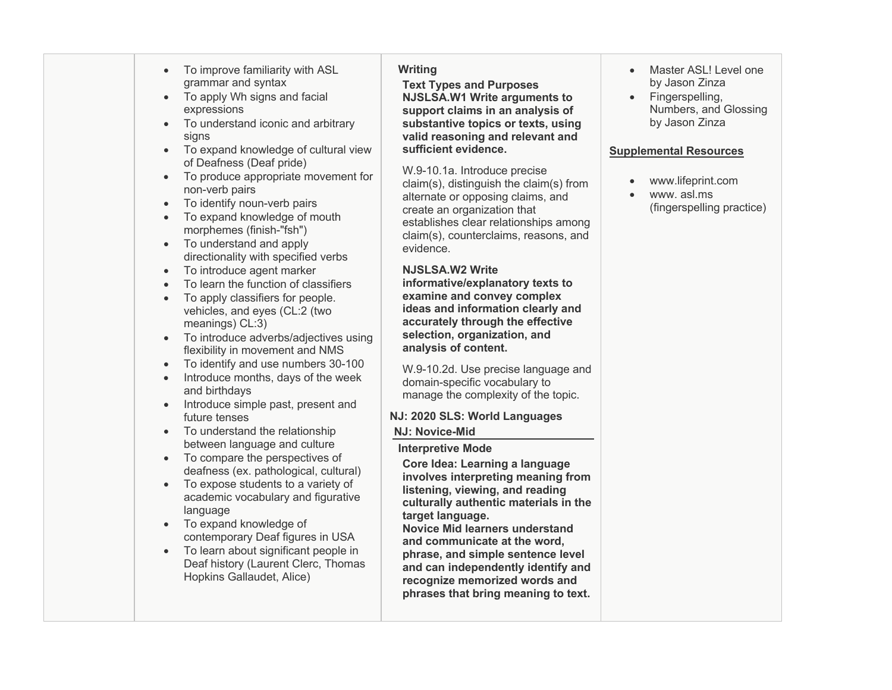- To improve familiarity with ASL **Writing**  Master ASL! Level one
- 
- To understand iconic and arbitrary • To understand iconic and arbitrary **substantive topics or texts, using** by Jason Zinza
- To expand knowledge of cultural view **sufficient evidence.** The supplemental Resources of Deafness (Deaf pride)
- • To produce appropriate movement for non-verb pairs
- To identify noun-verb pairs
- • To expand knowledge of mouth morphemes (finish-"fsh")
- • To understand and apply directionality with specified verbs
- To introduce agent marker **NJSLSA.W2 Write**
- To learn the function of classifiers **informative/explanatory texts to**
- To apply classifiers for people. **examine and convey complex**
- • To introduce adverbs/adjectives using **selection, organization, and**  flexibility in movement and NMS **analysis of content.**
- To identify and use numbers 30-100
- Introduce months, days of the week and birthdays
- Introduce simple past, present and
- To understand the relationship **NJ: Novice-Mid**
- between language and culture<br>
 To compare the perspectives of **Interpretive Mode**<br> **Core Idea:** Learni deafness (ex. pathological, cultural)
- • To expose students to a variety of academic vocabulary and figurative language
- • To expand knowledge of contemporary Deaf figures in USA
- To learn about significant people in Deaf history (Laurent Clerc, Thomas Hopkins Gallaudet, Alice)

• To apply Wh signs and facial **NJSLSA.W1 Write arguments to •** Fingerspelling, grammar and syntax **Text Types and Purposes** by Jason Zinza **NJSLSA.W1 Write arguments to** expressions **support claims in an analysis of Support claims in an analysis of Numbers**, and Glossing  signs **valid reasoning and relevant and**

> claim(s), distinguish the claim(s) from claim(s), counterclaims, reasons, and W.9-10.1a. Introduce precise alternate or opposing claims, and create an organization that establishes clear relationships among evidence.

## **NJSLSA.W2 Write**

selection, organization, and vehicles, and eyes (CL:2 (two **ideas and information clearly and** meanings) CL:3) **accurately through the effective** 

> manage the complexity of the topic. W.9-10.2d. Use precise language and domain-specific vocabulary to

# future tenses **NJ: 2020 SLS: World Languages**

 **Core Idea: Learning a language involves interpreting meaning from listening, viewing, and reading culturally authentic materials in the target language.**

and communicate at the word. phrase, and simple sentence level and can independently identify and recognize memorized words and  **phrases that bring meaning to text. Novice Mid learners understand**  • To learn about significant people in<br>
Deaf history (Laurent Clerc, Thomas<br>
Hopkins Gallaudet, Alice)<br>
The Hopkins Gallaudet, Alice and Simple sentence level<br>
The phrase, and simple sentence level<br>  $\frac{1}{2}$ <br>
Hopkins Gall

- Master ASL! Level one
- Numbers, and Glossing

- www.lifeprint.com
- • www. asl.ms (fingerspelling practice)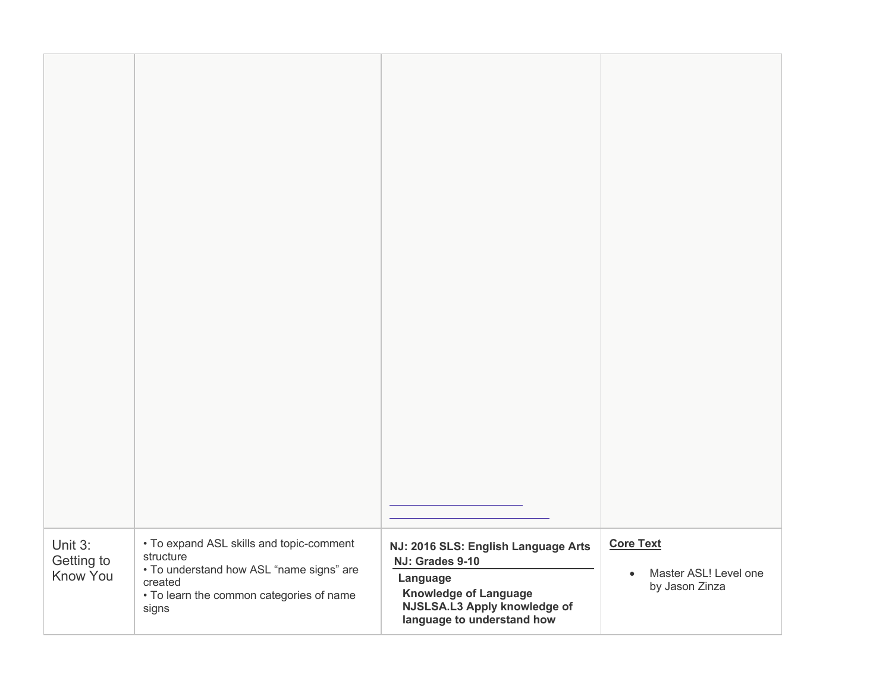| Unit 3:<br>Getting to<br>Know You | • To expand ASL skills and topic-comment<br>structure<br>• To understand how ASL "name signs" are<br>created<br>• To learn the common categories of name<br>signs | NJ: 2016 SLS: English Language Arts<br>NJ: Grades 9-10<br>Language<br><b>Knowledge of Language</b><br>NJSLSA.L3 Apply knowledge of<br>language to understand how | <b>Core Text</b><br>Master ASL! Level one<br>$\bullet$<br>by Jason Zinza |
|-----------------------------------|-------------------------------------------------------------------------------------------------------------------------------------------------------------------|------------------------------------------------------------------------------------------------------------------------------------------------------------------|--------------------------------------------------------------------------|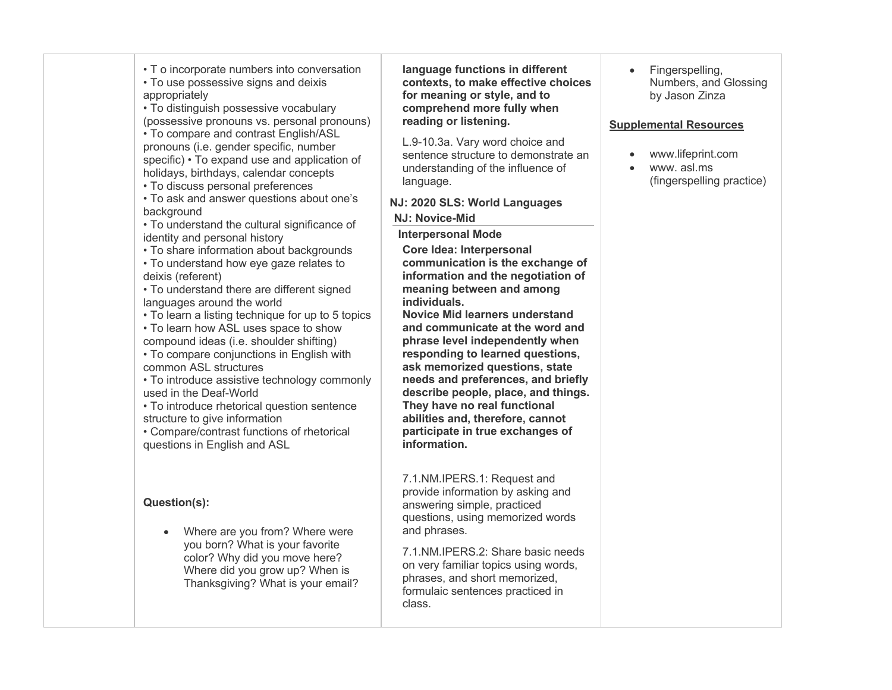| • T o incorporate numbers into conversation<br>• To use possessive signs and deixis<br>appropriately<br>• To distinguish possessive vocabulary<br>(possessive pronouns vs. personal pronouns)<br>• To compare and contrast English/ASL<br>pronouns (i.e. gender specific, number<br>specific) • To expand use and application of<br>holidays, birthdays, calendar concepts<br>• To discuss personal preferences<br>• To ask and answer questions about one's<br>background<br>• To understand the cultural significance of<br>identity and personal history<br>• To share information about backgrounds<br>• To understand how eye gaze relates to<br>deixis (referent)<br>• To understand there are different signed<br>languages around the world<br>• To learn a listing technique for up to 5 topics<br>• To learn how ASL uses space to show<br>compound ideas (i.e. shoulder shifting)<br>• To compare conjunctions in English with<br>common ASL structures<br>• To introduce assistive technology commonly<br>used in the Deaf-World<br>• To introduce rhetorical question sentence<br>structure to give information<br>• Compare/contrast functions of rhetorical<br>questions in English and ASL | language functions in different<br>contexts, to make effective choices<br>for meaning or style, and to<br>comprehend more fully when<br>reading or listening.<br>L.9-10.3a. Vary word choice and<br>sentence structure to demonstrate an<br>understanding of the influence of<br>language.<br>NJ: 2020 SLS: World Languages<br><b>NJ: Novice-Mid</b><br><b>Interpersonal Mode</b><br>Core Idea: Interpersonal<br>communication is the exchange of<br>information and the negotiation of<br>meaning between and among<br>individuals.<br><b>Novice Mid learners understand</b><br>and communicate at the word and<br>phrase level independently when<br>responding to learned questions,<br>ask memorized questions, state<br>needs and preferences, and briefly<br>describe people, place, and things.<br>They have no real functional<br>abilities and, therefore, cannot<br>participate in true exchanges of<br>information. | Fingerspelling,<br>Numbers, and Glossing<br>by Jason Zinza<br><b>Supplemental Resources</b><br>www.lifeprint.com<br>www.asl.ms<br>(fingerspelling practice) |
|------------------------------------------------------------------------------------------------------------------------------------------------------------------------------------------------------------------------------------------------------------------------------------------------------------------------------------------------------------------------------------------------------------------------------------------------------------------------------------------------------------------------------------------------------------------------------------------------------------------------------------------------------------------------------------------------------------------------------------------------------------------------------------------------------------------------------------------------------------------------------------------------------------------------------------------------------------------------------------------------------------------------------------------------------------------------------------------------------------------------------------------------------------------------------------------------------------|--------------------------------------------------------------------------------------------------------------------------------------------------------------------------------------------------------------------------------------------------------------------------------------------------------------------------------------------------------------------------------------------------------------------------------------------------------------------------------------------------------------------------------------------------------------------------------------------------------------------------------------------------------------------------------------------------------------------------------------------------------------------------------------------------------------------------------------------------------------------------------------------------------------------------------|-------------------------------------------------------------------------------------------------------------------------------------------------------------|
| Question(s):<br>Where are you from? Where were<br>$\bullet$<br>you born? What is your favorite<br>color? Why did you move here?<br>Where did you grow up? When is                                                                                                                                                                                                                                                                                                                                                                                                                                                                                                                                                                                                                                                                                                                                                                                                                                                                                                                                                                                                                                          | 7.1.NM.IPERS.1: Request and<br>provide information by asking and<br>answering simple, practiced<br>questions, using memorized words<br>and phrases.<br>7.1.NM.IPERS.2: Share basic needs<br>on very familiar topics using words,                                                                                                                                                                                                                                                                                                                                                                                                                                                                                                                                                                                                                                                                                               |                                                                                                                                                             |

Thanksgiving? What is your email?

## **NJ: 2020 SLS: World Languages**

## **NJ: Novice-Mid**

## **Interpersonal Mode**

 phrases, and short memorized, 7.1.NM.IPERS.2: Share basic needs on very familiar topics using words, formulaic sentences practiced in class.

## **Supplemental Resources**

- www.lifeprint.com
- • www. asl.ms (fingerspelling practice)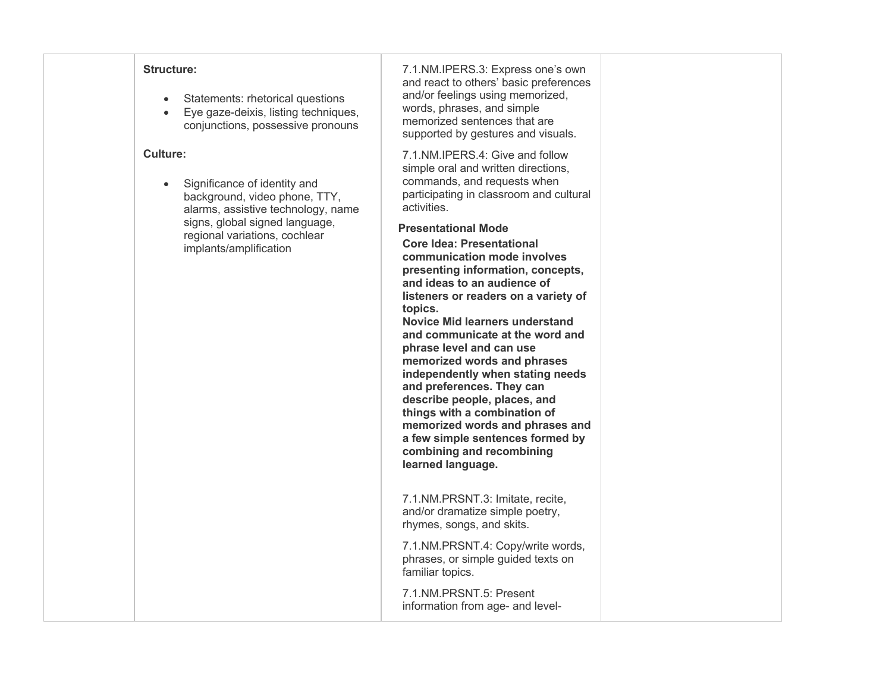## **Structure:**

- Statements: rhetorical questions
- Eye gaze-deixis, listing techniques, conjunctions, possessive pronouns

## **Culture:**

 • Significance of identity and background, video phone, TTY, signs, global signed language, alarms, assistive technology, name regional variations, cochlear implants/amplification

 and react to others' basic preferences words, phrases, and simple memorized sentences that are 7.1.NM.IPERS.3: Express one's own and/or feelings using memorized, supported by gestures and visuals.

 7.1.NM.IPERS.4: Give and follow simple oral and written directions, commands, and requests when participating in classroom and cultural activities.

## **Presentational Mode**

 **Core Idea: Presentational presenting information, concepts, and ideas to an audience of communication mode involves listeners or readers on a variety of topics.**

 **Novice Mid learners understand and communicate at the word and phrase level and can use memorized words and phrases and preferences. They can describe people, places, and memorized words and phrases and combining and recombining independently when stating needs things with a combination of a few simple sentences formed by learned language.** 

 7.1.NM.PRSNT.3: Imitate, recite, and/or dramatize simple poetry, rhymes, songs, and skits.

 phrases, or simple guided texts on 7.1.NM.PRSNT.4: Copy/write words, familiar topics.

 7.1.NM.PRSNT.5: Present information from age- and level-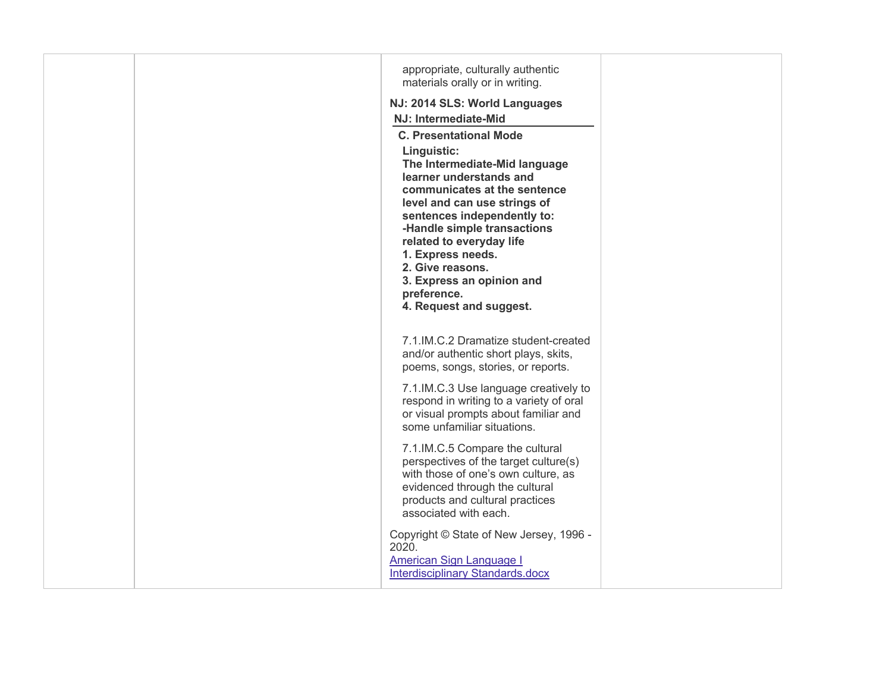|  | appropriate, culturally authentic<br>materials orally or in writing.<br>NJ: 2014 SLS: World Languages<br>NJ: Intermediate-Mid<br><b>C. Presentational Mode</b><br>Linguistic:<br>The Intermediate-Mid language<br>learner understands and<br>communicates at the sentence<br>level and can use strings of<br>sentences independently to:<br>-Handle simple transactions<br>related to everyday life<br>1. Express needs.<br>2. Give reasons.<br>3. Express an opinion and<br>preference.<br>4. Request and suggest. |  |
|--|---------------------------------------------------------------------------------------------------------------------------------------------------------------------------------------------------------------------------------------------------------------------------------------------------------------------------------------------------------------------------------------------------------------------------------------------------------------------------------------------------------------------|--|
|  | 7.1.IM.C.2 Dramatize student-created<br>and/or authentic short plays, skits,<br>poems, songs, stories, or reports.                                                                                                                                                                                                                                                                                                                                                                                                  |  |
|  | 7.1.IM.C.3 Use language creatively to<br>respond in writing to a variety of oral<br>or visual prompts about familiar and<br>some unfamiliar situations.                                                                                                                                                                                                                                                                                                                                                             |  |
|  | 7.1.IM.C.5 Compare the cultural<br>perspectives of the target culture(s)<br>with those of one's own culture, as<br>evidenced through the cultural<br>products and cultural practices<br>associated with each.                                                                                                                                                                                                                                                                                                       |  |
|  | Copyright © State of New Jersey, 1996 -<br>2020.<br><b>American Sign Language I</b><br>Interdisciplinary Standards.docx                                                                                                                                                                                                                                                                                                                                                                                             |  |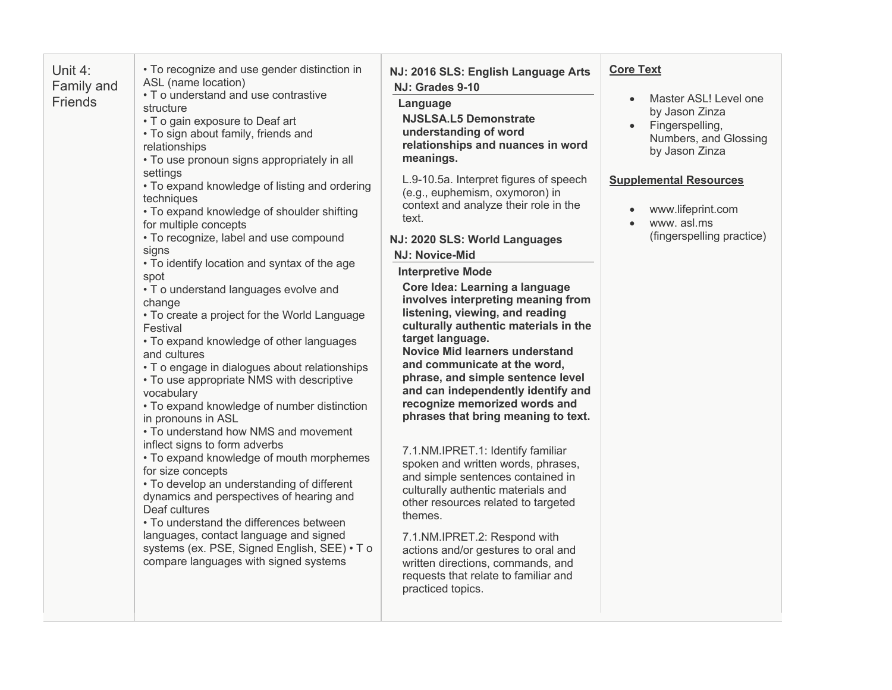| Unit 4:<br>Family and<br>Friends | • To recognize and use gender distinction in<br>ASL (name location)<br>• T o understand and use contrastive<br>structure<br>• T o gain exposure to Deaf art<br>• To sign about family, friends and<br>relationships<br>• To use pronoun signs appropriately in all<br>settings<br>• To expand knowledge of listing and ordering<br>techniques<br>• To expand knowledge of shoulder shifting<br>for multiple concepts<br>• To recognize, label and use compound<br>signs<br>. To identify location and syntax of the age<br>spot<br>• To understand languages evolve and<br>change<br>• To create a project for the World Language<br>Festival<br>• To expand knowledge of other languages<br>and cultures<br>• T o engage in dialogues about relationships<br>• To use appropriate NMS with descriptive<br>vocabulary<br>· To expand knowledge of number distinction<br>in pronouns in ASL<br>• To understand how NMS and movement<br>inflect signs to form adverbs<br>• To expand knowledge of mouth morphemes<br>for size concepts<br>• To develop an understanding of different<br>dynamics and perspectives of hearing and<br>Deaf cultures | NJ: 2016 SLS: English Language Arts<br>NJ: Grades 9-10<br>Language<br><b>NJSLSA.L5 Demonstrate</b><br>understanding of word<br>relationships and nuances in word<br>meanings.<br>L.9-10.5a. Interpret figures of speech<br>(e.g., euphemism, oxymoron) in<br>context and analyze their role in the<br>text.<br>NJ: 2020 SLS: World Languages<br><b>NJ: Novice-Mid</b><br><b>Interpretive Mode</b><br>Core Idea: Learning a language<br>involves interpreting meaning from<br>listening, viewing, and reading<br>culturally authentic materials in the<br>target language.<br><b>Novice Mid learners understand</b><br>and communicate at the word,<br>phrase, and simple sentence level<br>and can independently identify and<br>recognize memorized words and<br>phrases that bring meaning to text.<br>7.1.NM.IPRET.1: Identify familiar<br>spoken and written words, phrases,<br>and simple sentences contained in<br>culturally authentic materials and<br>other resources related to targeted | <b>Core Text</b><br>Master ASL! Level one<br>$\bullet$<br>by Jason Zinza<br>Fingerspelling,<br>Numbers, and Glossing<br>by Jason Zinza<br><b>Supplemental Resources</b><br>www.lifeprint.com<br>www.asl.ms<br>$\bullet$<br>(fingerspelling practice) |
|----------------------------------|-------------------------------------------------------------------------------------------------------------------------------------------------------------------------------------------------------------------------------------------------------------------------------------------------------------------------------------------------------------------------------------------------------------------------------------------------------------------------------------------------------------------------------------------------------------------------------------------------------------------------------------------------------------------------------------------------------------------------------------------------------------------------------------------------------------------------------------------------------------------------------------------------------------------------------------------------------------------------------------------------------------------------------------------------------------------------------------------------------------------------------------------------|----------------------------------------------------------------------------------------------------------------------------------------------------------------------------------------------------------------------------------------------------------------------------------------------------------------------------------------------------------------------------------------------------------------------------------------------------------------------------------------------------------------------------------------------------------------------------------------------------------------------------------------------------------------------------------------------------------------------------------------------------------------------------------------------------------------------------------------------------------------------------------------------------------------------------------------------------------------------------------------------------|------------------------------------------------------------------------------------------------------------------------------------------------------------------------------------------------------------------------------------------------------|
|                                  | • To understand the differences between<br>languages, contact language and signed<br>systems (ex. PSE, Signed English, SEE) • To<br>compare languages with signed systems                                                                                                                                                                                                                                                                                                                                                                                                                                                                                                                                                                                                                                                                                                                                                                                                                                                                                                                                                                       | themes.<br>7.1.NM.IPRET.2: Respond with<br>actions and/or gestures to oral and<br>written directions, commands, and<br>requests that relate to familiar and<br>practiced topics.                                                                                                                                                                                                                                                                                                                                                                                                                                                                                                                                                                                                                                                                                                                                                                                                                   |                                                                                                                                                                                                                                                      |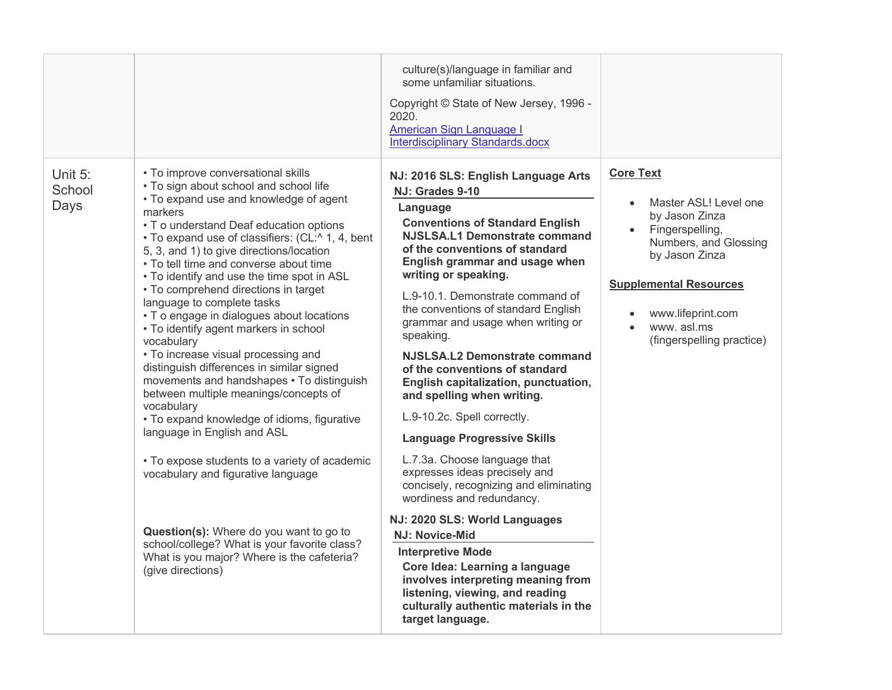|                           |                                                                                                                                                                                                                                                                                                                                                                                                                                                                                                                                                                                                                                                                                                                                                                                                                                                                                                                                                                                                                                                                          | culture(s)/language in familiar and<br>some unfamiliar situations.<br>Copyright © State of New Jersey, 1996 -<br>2020.<br>American Sign Language I<br>Interdisciplinary Standards.docx                                                                                                                                                                                                                                                                                                                                                                                                                                                                                                                                                                                                                                                                                                                                               |                                                                                                                                                                                                                            |
|---------------------------|--------------------------------------------------------------------------------------------------------------------------------------------------------------------------------------------------------------------------------------------------------------------------------------------------------------------------------------------------------------------------------------------------------------------------------------------------------------------------------------------------------------------------------------------------------------------------------------------------------------------------------------------------------------------------------------------------------------------------------------------------------------------------------------------------------------------------------------------------------------------------------------------------------------------------------------------------------------------------------------------------------------------------------------------------------------------------|--------------------------------------------------------------------------------------------------------------------------------------------------------------------------------------------------------------------------------------------------------------------------------------------------------------------------------------------------------------------------------------------------------------------------------------------------------------------------------------------------------------------------------------------------------------------------------------------------------------------------------------------------------------------------------------------------------------------------------------------------------------------------------------------------------------------------------------------------------------------------------------------------------------------------------------|----------------------------------------------------------------------------------------------------------------------------------------------------------------------------------------------------------------------------|
| Unit 5:<br>School<br>Days | • To improve conversational skills<br>• To sign about school and school life<br>• To expand use and knowledge of agent<br>markers<br>• To understand Deaf education options<br>• To expand use of classifiers: (CL:^ 1, 4, bent<br>5, 3, and 1) to give directions/location<br>• To tell time and converse about time<br>• To identify and use the time spot in ASL<br>• To comprehend directions in target<br>language to complete tasks<br>• T o engage in dialogues about locations<br>• To identify agent markers in school<br>vocabulary<br>• To increase visual processing and<br>distinguish differences in similar signed<br>movements and handshapes . To distinguish<br>between multiple meanings/concepts of<br>vocabulary<br>• To expand knowledge of idioms, figurative<br>language in English and ASL<br>• To expose students to a variety of academic<br>vocabulary and figurative language<br>Question(s): Where do you want to go to<br>school/college? What is your favorite class?<br>What is you major? Where is the cafeteria?<br>(give directions) | NJ: 2016 SLS: English Language Arts<br>NJ: Grades 9-10<br>Language<br><b>Conventions of Standard English</b><br><b>NJSLSA.L1 Demonstrate command</b><br>of the conventions of standard<br>English grammar and usage when<br>writing or speaking.<br>L.9-10.1. Demonstrate command of<br>the conventions of standard English<br>grammar and usage when writing or<br>speaking.<br>NJSLSA.L2 Demonstrate command<br>of the conventions of standard<br>English capitalization, punctuation,<br>and spelling when writing.<br>L.9-10.2c. Spell correctly.<br><b>Language Progressive Skills</b><br>L.7.3a. Choose language that<br>expresses ideas precisely and<br>concisely, recognizing and eliminating<br>wordiness and redundancy.<br>NJ: 2020 SLS: World Languages<br><b>NJ: Novice-Mid</b><br><b>Interpretive Mode</b><br>Core Idea: Learning a language<br>involves interpreting meaning from<br>listening, viewing, and reading | <b>Core Text</b><br>Master ASL! Level one<br>by Jason Zinza<br>Fingerspelling,<br>Numbers, and Glossing<br>by Jason Zinza<br><b>Supplemental Resources</b><br>www.lifeprint.com<br>www.asl.ms<br>(fingerspelling practice) |
|                           |                                                                                                                                                                                                                                                                                                                                                                                                                                                                                                                                                                                                                                                                                                                                                                                                                                                                                                                                                                                                                                                                          | culturally authentic materials in the<br>target language.                                                                                                                                                                                                                                                                                                                                                                                                                                                                                                                                                                                                                                                                                                                                                                                                                                                                            |                                                                                                                                                                                                                            |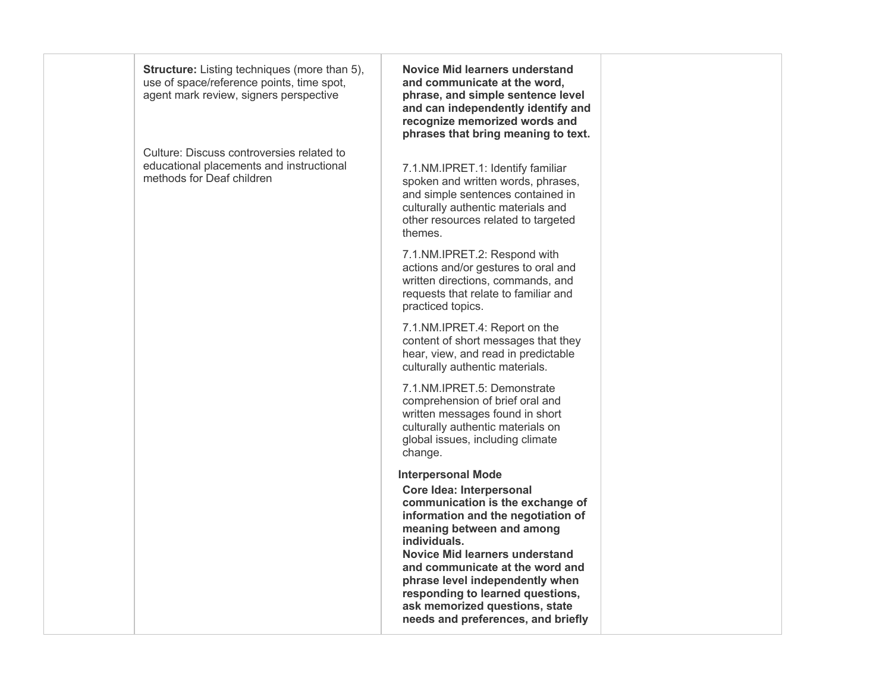use of space/reference points, time spot, **Structure:** Listing techniques (more than 5), agent mark review, signers perspective

 Culture: Discuss controversies related to methods for Deaf children educational placements and instructional

 **Novice Mid learners understand and communicate at the word, and can independently identify and recognize memorized words and phrases that bring meaning to text. phrase, and simple sentence level**

 spoken and written words, phrases, 7.1.NM.IPRET.1: Identify familiar and simple sentences contained in culturally authentic materials and other resources related to targeted themes.

 written directions, commands, and 7.1.NM.IPRET.2: Respond with actions and/or gestures to oral and requests that relate to familiar and practiced topics.

 7.1.NM.IPRET.4: Report on the content of short messages that they hear, view, and read in predictable culturally authentic materials.

 comprehension of brief oral and written messages found in short global issues, including climate 7.1.NM.IPRET.5: Demonstrate culturally authentic materials on change.

**Interpersonal Mode** 

 **Core Idea: Interpersonal meaning between and among communication is the exchange of information and the negotiation of individuals.** 

 **Novice Mid learners understand and communicate at the word and phrase level independently when responding to learned questions, ask memorized questions, state needs and preferences, and briefly**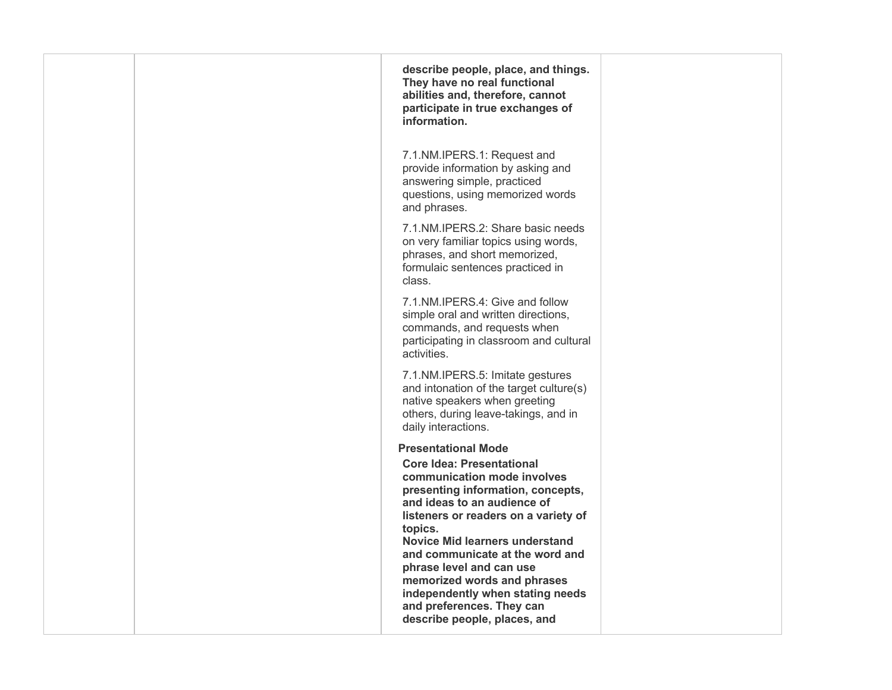| describe people, place, and things.<br>They have no real functional<br>abilities and, therefore, cannot<br>participate in true exchanges of<br>information.                                                                                                                                                                                                                                                                                                  |  |
|--------------------------------------------------------------------------------------------------------------------------------------------------------------------------------------------------------------------------------------------------------------------------------------------------------------------------------------------------------------------------------------------------------------------------------------------------------------|--|
| 7.1.NM.IPERS.1: Request and<br>provide information by asking and<br>answering simple, practiced<br>questions, using memorized words<br>and phrases.                                                                                                                                                                                                                                                                                                          |  |
| 7.1.NM.IPERS.2: Share basic needs<br>on very familiar topics using words,<br>phrases, and short memorized,<br>formulaic sentences practiced in<br>class.                                                                                                                                                                                                                                                                                                     |  |
| 7.1. NM. IPERS. 4: Give and follow<br>simple oral and written directions,<br>commands, and requests when<br>participating in classroom and cultural<br>activities.                                                                                                                                                                                                                                                                                           |  |
| 7.1.NM.IPERS.5: Imitate gestures<br>and intonation of the target culture(s)<br>native speakers when greeting<br>others, during leave-takings, and in<br>daily interactions.                                                                                                                                                                                                                                                                                  |  |
| <b>Presentational Mode</b><br><b>Core Idea: Presentational</b><br>communication mode involves<br>presenting information, concepts,<br>and ideas to an audience of<br>listeners or readers on a variety of<br>topics.<br><b>Novice Mid learners understand</b><br>and communicate at the word and<br>phrase level and can use<br>memorized words and phrases<br>independently when stating needs<br>and preferences. They can<br>describe people, places, and |  |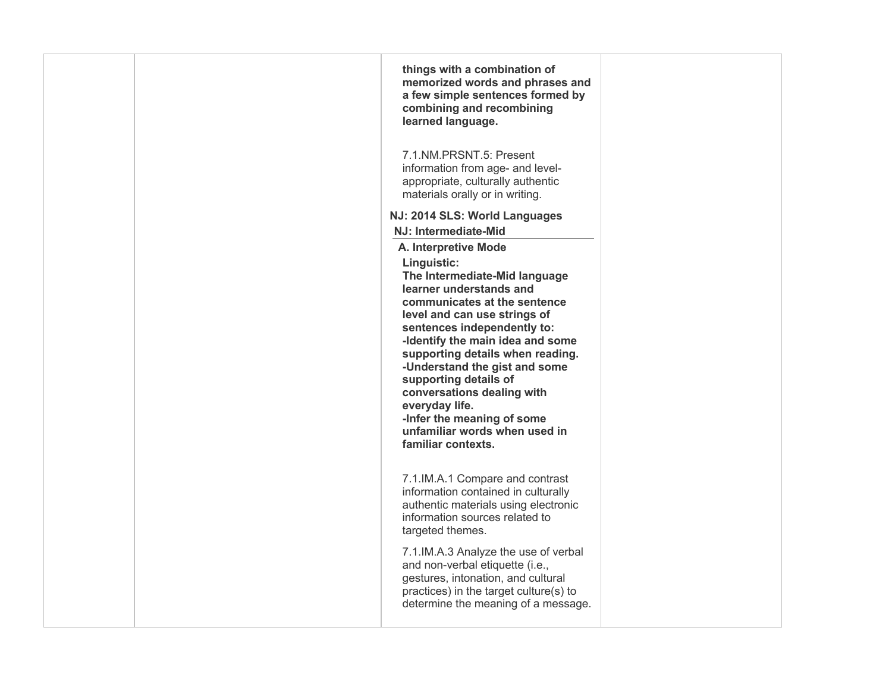|  | things with a combination of<br>memorized words and phrases and<br>a few simple sentences formed by<br>combining and recombining<br>learned language.                                                                                                                                                                                                                                                                                         |  |
|--|-----------------------------------------------------------------------------------------------------------------------------------------------------------------------------------------------------------------------------------------------------------------------------------------------------------------------------------------------------------------------------------------------------------------------------------------------|--|
|  | 7.1.NM.PRSNT.5: Present<br>information from age- and level-<br>appropriate, culturally authentic<br>materials orally or in writing.                                                                                                                                                                                                                                                                                                           |  |
|  | NJ: 2014 SLS: World Languages                                                                                                                                                                                                                                                                                                                                                                                                                 |  |
|  | NJ: Intermediate-Mid                                                                                                                                                                                                                                                                                                                                                                                                                          |  |
|  | A. Interpretive Mode                                                                                                                                                                                                                                                                                                                                                                                                                          |  |
|  | Linguistic:<br>The Intermediate-Mid language<br>learner understands and<br>communicates at the sentence<br>level and can use strings of<br>sentences independently to:<br>-Identify the main idea and some<br>supporting details when reading.<br>-Understand the gist and some<br>supporting details of<br>conversations dealing with<br>everyday life.<br>-Infer the meaning of some<br>unfamiliar words when used in<br>familiar contexts. |  |
|  | 7.1.IM.A.1 Compare and contrast<br>information contained in culturally<br>authentic materials using electronic<br>information sources related to<br>targeted themes.                                                                                                                                                                                                                                                                          |  |
|  | 7.1.IM.A.3 Analyze the use of verbal<br>and non-verbal etiquette (i.e.,<br>gestures, intonation, and cultural<br>practices) in the target culture(s) to<br>determine the meaning of a message.                                                                                                                                                                                                                                                |  |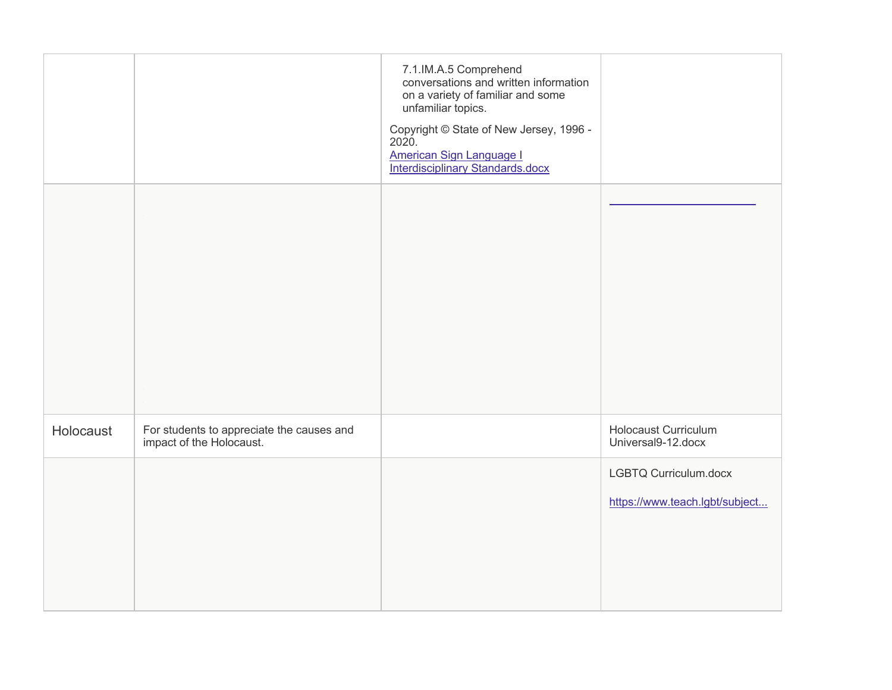|           |                                                                       | 7.1.IM.A.5 Comprehend<br>conversations and written information<br>on a variety of familiar and some<br>unfamiliar topics.<br>Copyright © State of New Jersey, 1996 -<br>2020.<br><b>American Sign Language I</b><br>Interdisciplinary Standards.docx |                                                         |
|-----------|-----------------------------------------------------------------------|------------------------------------------------------------------------------------------------------------------------------------------------------------------------------------------------------------------------------------------------------|---------------------------------------------------------|
|           |                                                                       |                                                                                                                                                                                                                                                      |                                                         |
| Holocaust | For students to appreciate the causes and<br>impact of the Holocaust. |                                                                                                                                                                                                                                                      | <b>Holocaust Curriculum</b><br>Universal9-12.docx       |
|           |                                                                       |                                                                                                                                                                                                                                                      | LGBTQ Curriculum.docx<br>https://www.teach.lgbt/subject |